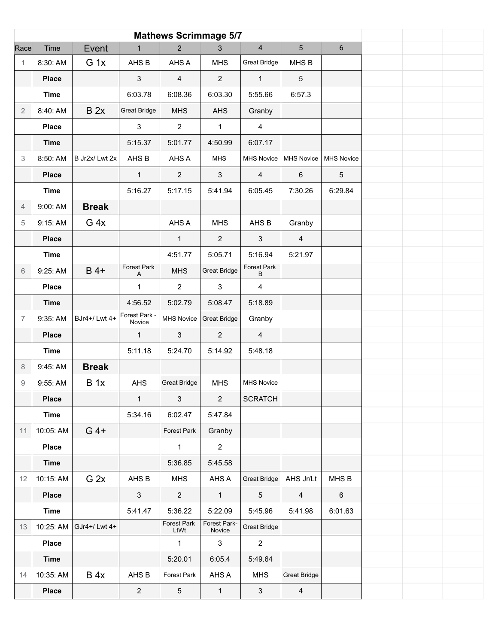| <b>Mathews Scrimmage 5/7</b> |              |                 |                         |                         |                        |                     |                     |                   |  |  |
|------------------------------|--------------|-----------------|-------------------------|-------------------------|------------------------|---------------------|---------------------|-------------------|--|--|
| Race                         | Time         | Event           | $\mathbf{1}$            | $\overline{2}$          | 3                      | $\overline{4}$      | 5                   | $\boldsymbol{6}$  |  |  |
| $\mathbf{1}$                 | 8:30: AM     | G <sub>1x</sub> | AHS B                   | AHS A                   | <b>MHS</b>             | <b>Great Bridge</b> | MHS <sub>B</sub>    |                   |  |  |
|                              | <b>Place</b> |                 | $\mathbf{3}$            | $\overline{\mathbf{4}}$ | $\overline{2}$         | $\mathbf{1}$        | $5\phantom{.0}$     |                   |  |  |
|                              | <b>Time</b>  |                 | 6:03.78                 | 6:08.36                 | 6:03.30                | 5:55.66             | 6:57.3              |                   |  |  |
| 2                            | 8:40: AM     | B 2x            | <b>Great Bridge</b>     | <b>MHS</b>              | <b>AHS</b>             | Granby              |                     |                   |  |  |
|                              | <b>Place</b> |                 | 3                       | $\overline{2}$          | $\mathbf{1}$           | $\overline{4}$      |                     |                   |  |  |
|                              | <b>Time</b>  |                 | 5:15.37                 | 5:01.77                 | 4:50.99                | 6:07.17             |                     |                   |  |  |
| 3                            | 8:50: AM     | B Jr2x/ Lwt 2x  | AHS B                   | AHS A                   | <b>MHS</b>             | <b>MHS Novice</b>   | MHS Novice          | <b>MHS Novice</b> |  |  |
|                              | <b>Place</b> |                 | $\mathbf{1}$            | $\overline{2}$          | $\mathbf{3}$           | $\overline{4}$      | $\,6\,$             | $\sqrt{5}$        |  |  |
|                              | <b>Time</b>  |                 | 5:16.27                 | 5:17.15                 | 5:41.94                | 6:05.45             | 7:30.26             | 6:29.84           |  |  |
| $\overline{4}$               | 9:00: AM     | <b>Break</b>    |                         |                         |                        |                     |                     |                   |  |  |
| 5                            | 9:15: AM     | G <sub>4x</sub> |                         | AHS A                   | <b>MHS</b>             | AHS B               | Granby              |                   |  |  |
|                              | <b>Place</b> |                 |                         | $\mathbf{1}$            | $\overline{2}$         | $\mathbf{3}$        | $\overline{4}$      |                   |  |  |
|                              | <b>Time</b>  |                 |                         | 4:51.77                 | 5:05.71                | 5:16.94             | 5:21.97             |                   |  |  |
| 6                            | 9:25: AM     | $B$ 4+          | Forest Park<br>Α        | <b>MHS</b>              | <b>Great Bridge</b>    | Forest Park<br>B    |                     |                   |  |  |
|                              | <b>Place</b> |                 | $\mathbf{1}$            | $\overline{2}$          | 3                      | $\overline{4}$      |                     |                   |  |  |
|                              | <b>Time</b>  |                 | 4:56.52                 | 5:02.79                 | 5:08.47                | 5:18.89             |                     |                   |  |  |
| $\overline{7}$               | 9:35: AM     | BJr4+/ Lwt 4+   | Forest Park -<br>Novice | MHS Novice              | <b>Great Bridge</b>    | Granby              |                     |                   |  |  |
|                              | <b>Place</b> |                 | $\mathbf{1}$            | $\mathbf{3}$            | $\overline{2}$         | $\overline{4}$      |                     |                   |  |  |
|                              | <b>Time</b>  |                 | 5:11.18                 | 5:24.70                 | 5:14.92                | 5:48.18             |                     |                   |  |  |
| 8                            | 9:45: AM     | <b>Break</b>    |                         |                         |                        |                     |                     |                   |  |  |
| 9                            | 9:55: AM     | B <sub>1x</sub> | AHS                     | <b>Great Bridge</b>     | <b>MHS</b>             | <b>MHS Novice</b>   |                     |                   |  |  |
|                              | <b>Place</b> |                 | $\mathbf{1}$            | $\mathfrak{S}$          | $\overline{2}$         | <b>SCRATCH</b>      |                     |                   |  |  |
|                              | <b>Time</b>  |                 | 5:34.16                 | 6:02.47                 | 5:47.84                |                     |                     |                   |  |  |
| 11                           | 10:05: AM    | $G$ 4+          |                         | Forest Park             | Granby                 |                     |                     |                   |  |  |
|                              | <b>Place</b> |                 |                         | $\mathbf{1}$            | $\overline{2}$         |                     |                     |                   |  |  |
|                              | <b>Time</b>  |                 |                         | 5:36.85                 | 5:45.58                |                     |                     |                   |  |  |
| 12                           | 10:15: AM    | G <sub>2x</sub> | AHS B                   | <b>MHS</b>              | AHS A                  | <b>Great Bridge</b> | AHS Jr/Lt           | MHS B             |  |  |
|                              | <b>Place</b> |                 | $\mathbf{3}$            | $\sqrt{2}$              | $\mathbf{1}$           | $\sqrt{5}$          | $\overline{4}$      | 6                 |  |  |
|                              | <b>Time</b>  |                 | 5:41.47                 | 5:36.22                 | 5:22.09                | 5:45.96             | 5:41.98             | 6:01.63           |  |  |
| 13                           | 10:25: AM    | GJr4+/Lwt 4+    |                         | Forest Park<br>LtWt     | Forest Park-<br>Novice | <b>Great Bridge</b> |                     |                   |  |  |
|                              | <b>Place</b> |                 |                         | $\mathbf{1}$            | $\mathbf{3}$           | $\overline{2}$      |                     |                   |  |  |
|                              | <b>Time</b>  |                 |                         | 5:20.01                 | 6:05.4                 | 5:49.64             |                     |                   |  |  |
| 14                           | 10:35: AM    | B 4x            | AHS B                   | Forest Park             | AHS A                  | <b>MHS</b>          | <b>Great Bridge</b> |                   |  |  |
|                              | Place        |                 | $\overline{2}$          | 5                       | $\mathbf{1}$           | $\mathbf{3}$        | $\overline{4}$      |                   |  |  |
|                              |              |                 |                         |                         |                        |                     |                     |                   |  |  |